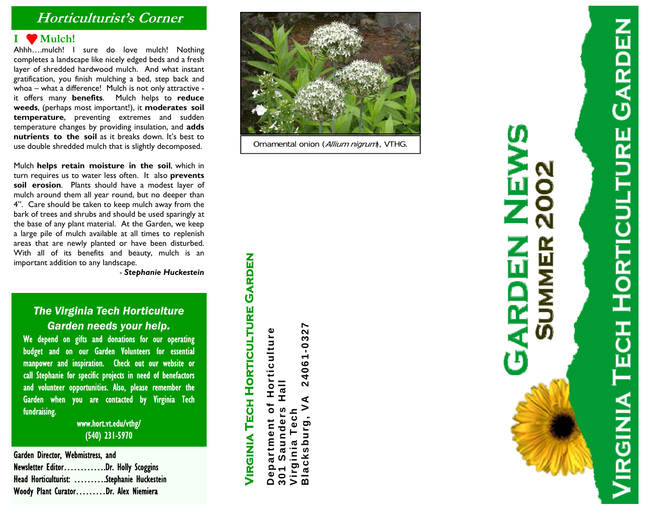## **Horticulturist's Corner**

#### **I Mulch!**

Ahhh….mulch! I sure do love mulch! Nothing completes a landscape like nicely edged beds and a fresh layer of shredded hardwood mulch. And what instant gratification, you finish mulching a bed, step back and whoa – what a difference! Mulch is not only attractive it offers many **benefits**. Mulch helps to **reduce weeds**, (perhaps most important!), it **moderates soil temperature**, preventing extremes and sudden temperature changes by providing insulation, and **adds nutrients to the soil** as it breaks down. It's best to use double shredded mulch that is slightly decomposed.

Mulch **helps retain moisture in the soil**, which in turn requires us to water less often. It also **prevents soil erosion**. Plants should have a modest layer of mulch around them all year round, but no deeper than 4". Care should be taken to keep mulch away from the bark of trees and shrubs and should be used sparingly at the base of any plant material. At the Garden, we keep a large pile of mulch available at all times to replenish areas that are newly planted or have been disturbed. With all of its benefits and beauty, mulch is an important addition to any landscape.

*- Stephanie Huckestein*

## *The Virginia Tech Horticulture Garden needs your help.*

We depend on gifts and donations for our operating budget and on our Garden Volunteers for essential manpower and inspiration. Check out our website or call Stephanie for specific projects in need of benefactors and volunteer opportunities. Also, please remember the Garden when you are contacted by Virginia Tech fundraising.

> www.hort.vt.edu/vthg/ (540) 231-5970

Garden Director, Webmistress, and Newsletter Editor………….Dr. Holly Scoggins Head Horticulturist: ……….Stephanie Huckestein Woody Plant Curator………Dr. Alex Niemiera



Ornamental onion (Allium nigrum), VTHG.

**Virginia Tech Horticulture Garden**  VIRGINIA TECH HORTICULTURE GARDEN **Department of Horticulture**  Horticulture  $\bullet$ artment Dep

**Blacksburg, VA 24061-0327**  24061-0327 **301 Saunders Hall**  ー<br>エ  $\leq$ Saunders **Virginia Tech**  inia Tech Virginia Tech<br>Blacksburg,  $301$ 

# **NB**<br>NB  $\mathbf{Z}$ **SUMMER** GARI

**VIRGINIA TECH HORTICULTURE GARDEN**